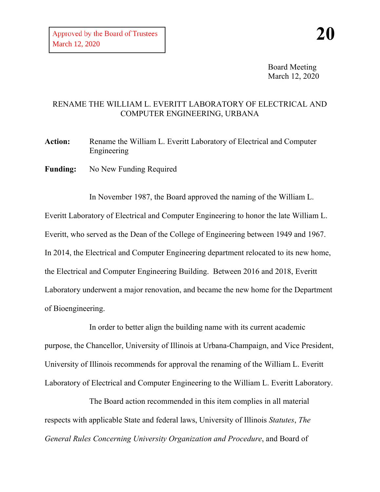Board Meeting March 12, 2020

## RENAME THE WILLIAM L. EVERITT LABORATORY OF ELECTRICAL AND COMPUTER ENGINEERING, URBANA

**Action:** Rename the William L. Everitt Laboratory of Electrical and Computer Engineering

Funding: No New Funding Required

In November 1987, the Board approved the naming of the William L. Everitt Laboratory of Electrical and Computer Engineering to honor the late William L. Everitt, who served as the Dean of the College of Engineering between 1949 and 1967. In 2014, the Electrical and Computer Engineering department relocated to its new home, the Electrical and Computer Engineering Building. Between 2016 and 2018, Everitt Laboratory underwent a major renovation, and became the new home for the Department of Bioengineering.

In order to better align the building name with its current academic purpose, the Chancellor, University of Illinois at Urbana-Champaign, and Vice President, University of Illinois recommends for approval the renaming of the William L. Everitt Laboratory of Electrical and Computer Engineering to the William L. Everitt Laboratory.

The Board action recommended in this item complies in all material respects with applicable State and federal laws, University of Illinois *Statutes*, *The General Rules Concerning University Organization and Procedure*, and Board of